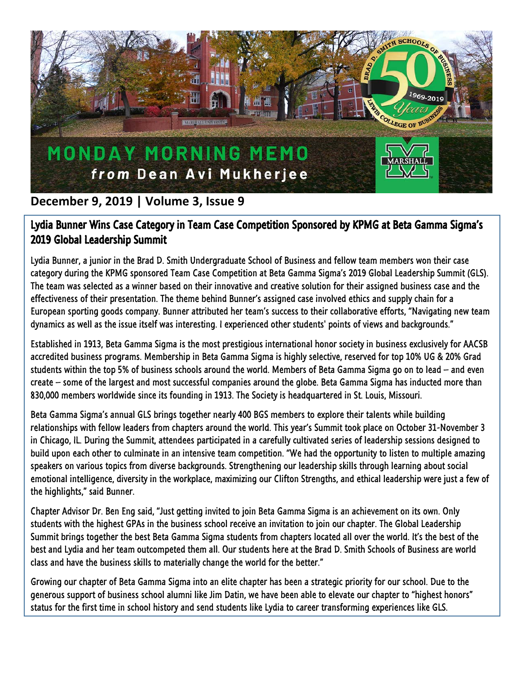

## **December 9, 2019 | Volume 3, Issue 9**

## Lydia Bunner Wins Case Category in Team Case Competition Sponsored by KPMG at Beta Gamma Sigma's 2019 Global Leadership Summit

Lydia Bunner, a junior in the Brad D. Smith Undergraduate School of Business and fellow team members won their case category during the KPMG sponsored Team Case Competition at Beta Gamma Sigma's 2019 Global Leadership Summit (GLS). The team was selected as a winner based on their innovative and creative solution for their assigned business case and the effectiveness of their presentation. The theme behind Bunner's assigned case involved ethics and supply chain for a European sporting goods company. Bunner attributed her team's success to their collaborative efforts, "Navigating new team dynamics as well as the issue itself was interesting. I experienced other students' points of views and backgrounds."

Established in 1913, Beta Gamma Sigma is the most prestigious international honor society in business exclusively for AACSB accredited business programs. Membership in Beta Gamma Sigma is highly selective, reserved for top 10% UG & 20% Grad students within the top 5% of business schools around the world. Members of Beta Gamma Sigma go on to lead – and even create – some of the largest and most successful companies around the globe. Beta Gamma Sigma has inducted more than 830,000 members worldwide since its founding in 1913. The Society is headquartered in St. Louis, Missouri.

Beta Gamma Sigma's annual GLS brings together nearly 400 BGS members to explore their talents while building relationships with fellow leaders from chapters around the world. This year's Summit took place on October 31-November 3 in Chicago, IL. During the Summit, attendees participated in a carefully cultivated series of leadership sessions designed to build upon each other to culminate in an intensive team competition. "We had the opportunity to listen to multiple amazing speakers on various topics from diverse backgrounds. Strengthening our leadership skills through learning about social emotional intelligence, diversity in the workplace, maximizing our Clifton Strengths, and ethical leadership were just a few of the highlights," said Bunner.

Chapter Advisor Dr. Ben Eng said, "Just getting invited to join Beta Gamma Sigma is an achievement on its own. Only students with the highest GPAs in the business school receive an invitation to join our chapter. The Global Leadership Summit brings together the best Beta Gamma Sigma students from chapters located all over the world. It's the best of the best and Lydia and her team outcompeted them all. Our students here at the Brad D. Smith Schools of Business are world class and have the business skills to materially change the world for the better."

Growing our chapter of Beta Gamma Sigma into an elite chapter has been a strategic priority for our school. Due to the generous support of business school alumni like Jim Datin, we have been able to elevate our chapter to "highest honors" status for the first time in school history and send students like Lydia to career transforming experiences like GLS.